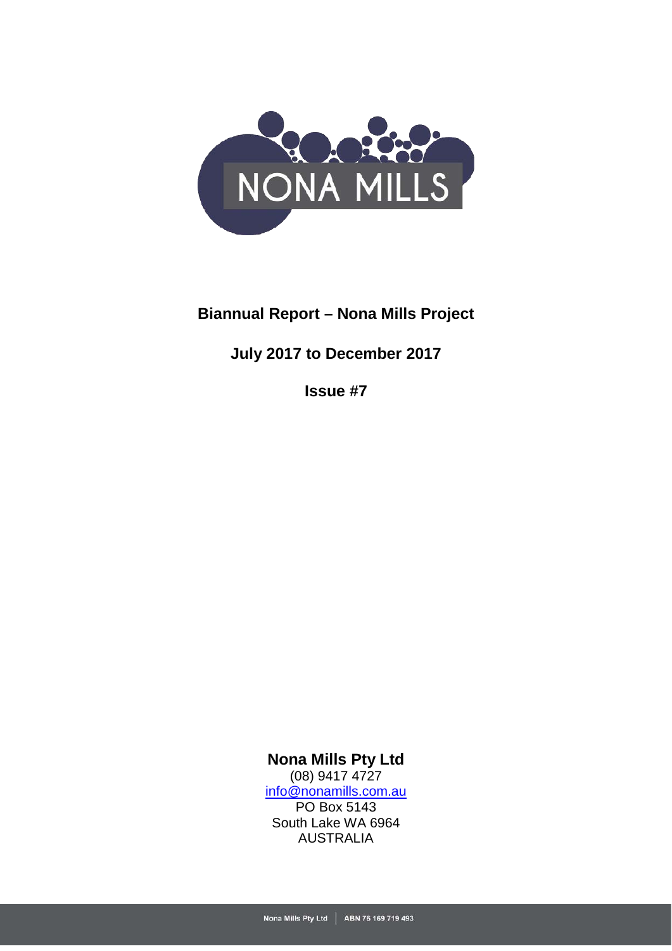

# **Biannual Report – Nona Mills Project**

# **July 2017 to December 2017**

**Issue #7**

**Nona Mills Pty Ltd** (08) 9417 4727 [info@nonamills.com.au](mailto:info@nonamills.com.au) PO Box 5143 South Lake WA 6964 AUSTRALIA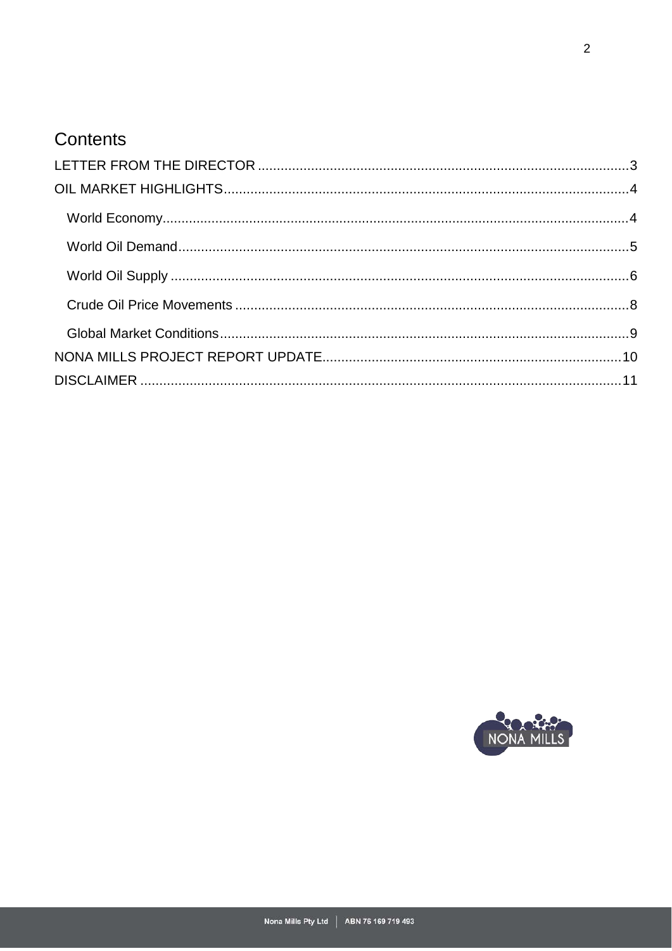# Contents

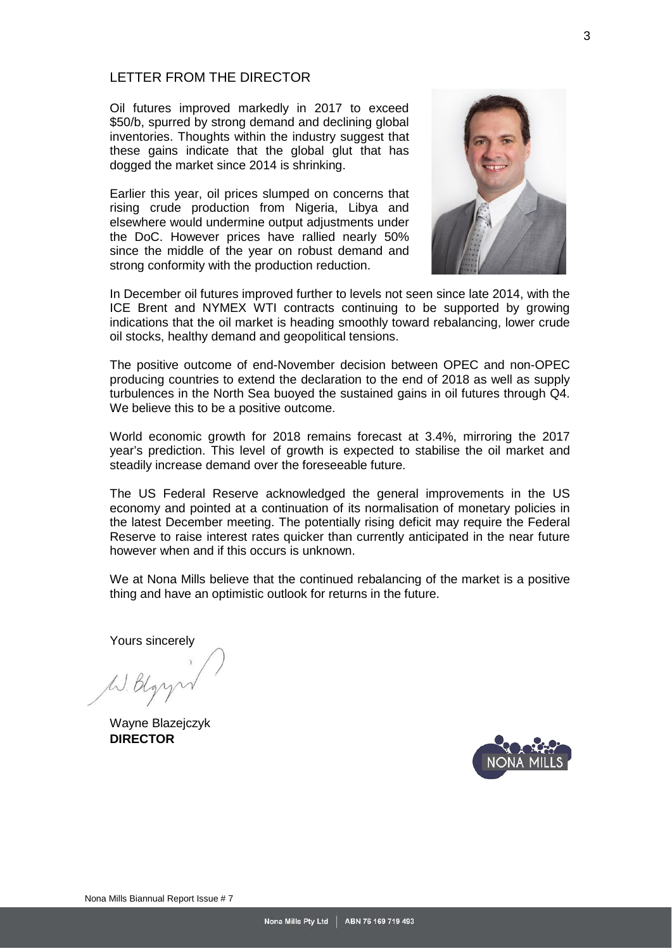## <span id="page-2-0"></span>LETTER FROM THE DIRECTOR

Oil futures improved markedly in 2017 to exceed \$50/b, spurred by strong demand and declining global inventories. Thoughts within the industry suggest that these gains indicate that the global glut that has dogged the market since 2014 is shrinking.

Earlier this year, oil prices slumped on concerns that rising crude production from Nigeria, Libya and elsewhere would undermine output adjustments under the DoC. However prices have rallied nearly 50% since the middle of the year on robust demand and strong conformity with the production reduction.



In December oil futures improved further to levels not seen since late 2014, with the ICE Brent and NYMEX WTI contracts continuing to be supported by growing indications that the oil market is heading smoothly toward rebalancing, lower crude oil stocks, healthy demand and geopolitical tensions.

The positive outcome of end-November decision between OPEC and non-OPEC producing countries to extend the declaration to the end of 2018 as well as supply turbulences in the North Sea buoyed the sustained gains in oil futures through Q4. We believe this to be a positive outcome.

World economic growth for 2018 remains forecast at 3.4%, mirroring the 2017 year's prediction. This level of growth is expected to stabilise the oil market and steadily increase demand over the foreseeable future.

The US Federal Reserve acknowledged the general improvements in the US economy and pointed at a continuation of its normalisation of monetary policies in the latest December meeting. The potentially rising deficit may require the Federal Reserve to raise interest rates quicker than currently anticipated in the near future however when and if this occurs is unknown.

We at Nona Mills believe that the continued rebalancing of the market is a positive thing and have an optimistic outlook for returns in the future.

Yours sincerely

W. Blgr

Wayne Blazejczyk **DIRECTOR**

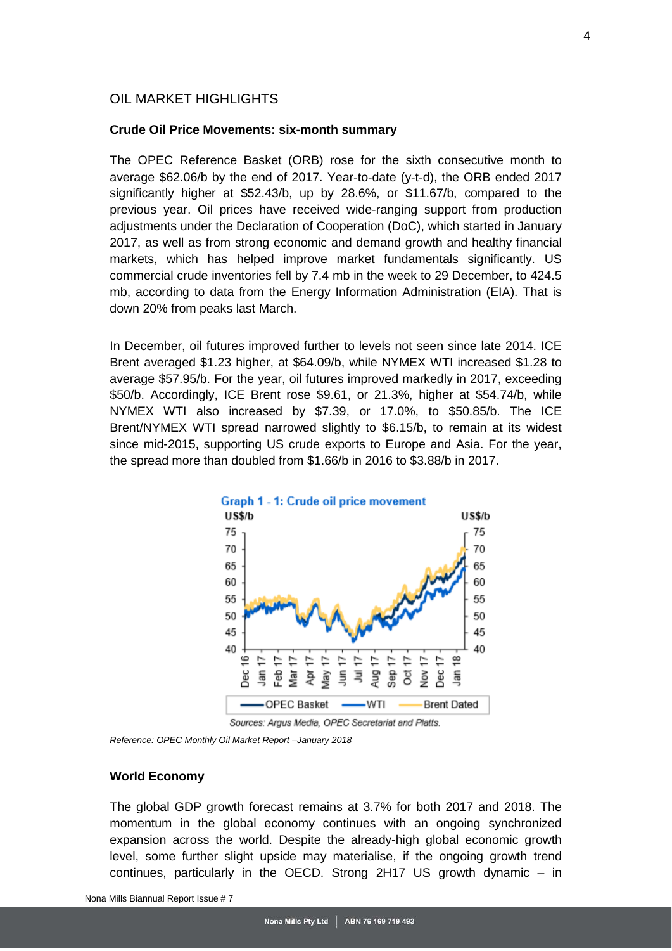#### <span id="page-3-0"></span>OIL MARKET HIGHLIGHTS

#### **Crude Oil Price Movements: six-month summary**

The OPEC Reference Basket (ORB) rose for the sixth consecutive month to average \$62.06/b by the end of 2017. Year-to-date (y-t-d), the ORB ended 2017 significantly higher at \$52.43/b, up by 28.6%, or \$11.67/b, compared to the previous year. Oil prices have received wide-ranging support from production adjustments under the Declaration of Cooperation (DoC), which started in January 2017, as well as from strong economic and demand growth and healthy financial markets, which has helped improve market fundamentals significantly. US commercial crude inventories fell by 7.4 mb in the week to 29 December, to 424.5 mb, according to data from the Energy Information Administration (EIA). That is down 20% from peaks last March.

In December, oil futures improved further to levels not seen since late 2014. ICE Brent averaged \$1.23 higher, at \$64.09/b, while NYMEX WTI increased \$1.28 to average \$57.95/b. For the year, oil futures improved markedly in 2017, exceeding \$50/b. Accordingly, ICE Brent rose \$9.61, or 21.3%, higher at \$54.74/b, while NYMEX WTI also increased by \$7.39, or 17.0%, to \$50.85/b. The ICE Brent/NYMEX WTI spread narrowed slightly to \$6.15/b, to remain at its widest since mid-2015, supporting US crude exports to Europe and Asia. For the year, the spread more than doubled from \$1.66/b in 2016 to \$3.88/b in 2017.



Sources: Argus Media, OPEC Secretariat and Platts.

*Reference: OPEC Monthly Oil Market Report –January 2018*

#### <span id="page-3-1"></span>**World Economy**

The global GDP growth forecast remains at 3.7% for both 2017 and 2018. The momentum in the global economy continues with an ongoing synchronized expansion across the world. Despite the already-high global economic growth level, some further slight upside may materialise, if the ongoing growth trend continues, particularly in the OECD. Strong 2H17 US growth dynamic – in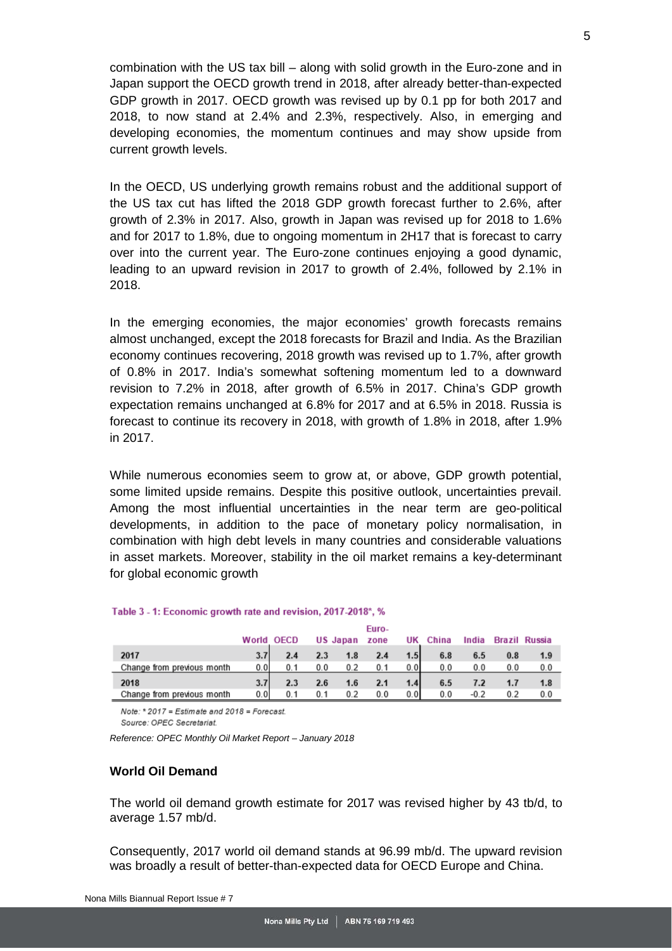combination with the US tax bill – along with solid growth in the Euro-zone and in Japan support the OECD growth trend in 2018, after already better-than-expected GDP growth in 2017. OECD growth was revised up by 0.1 pp for both 2017 and 2018, to now stand at 2.4% and 2.3%, respectively. Also, in emerging and developing economies, the momentum continues and may show upside from current growth levels.

In the OECD, US underlying growth remains robust and the additional support of the US tax cut has lifted the 2018 GDP growth forecast further to 2.6%, after growth of 2.3% in 2017. Also, growth in Japan was revised up for 2018 to 1.6% and for 2017 to 1.8%, due to ongoing momentum in 2H17 that is forecast to carry over into the current year. The Euro-zone continues enjoying a good dynamic, leading to an upward revision in 2017 to growth of 2.4%, followed by 2.1% in 2018.

In the emerging economies, the major economies' growth forecasts remains almost unchanged, except the 2018 forecasts for Brazil and India. As the Brazilian economy continues recovering, 2018 growth was revised up to 1.7%, after growth of 0.8% in 2017. India's somewhat softening momentum led to a downward revision to 7.2% in 2018, after growth of 6.5% in 2017. China's GDP growth expectation remains unchanged at 6.8% for 2017 and at 6.5% in 2018. Russia is forecast to continue its recovery in 2018, with growth of 1.8% in 2018, after 1.9% in 2017.

While numerous economies seem to grow at, or above, GDP growth potential, some limited upside remains. Despite this positive outlook, uncertainties prevail. Among the most influential uncertainties in the near term are geo-political developments, in addition to the pace of monetary policy normalisation, in combination with high debt levels in many countries and considerable valuations in asset markets. Moreover, stability in the oil market remains a key-determinant for global economic growth

|                            | World OECD |     |                  | US Japan | .<br>zone | UK   | China | India  |     | Brazil Russia |
|----------------------------|------------|-----|------------------|----------|-----------|------|-------|--------|-----|---------------|
| 2017                       | 3.7        | 2.4 | $2.3\phantom{0}$ | 1.8      | 2.4       | 1.5  | 6.8   | 6.5    | 0.8 | 1.9           |
| Change from previous month | 0.0        | 0.1 | 0.0              | 0.2      | 0.1       | 0.OI | 0.0   | 0.0    | 0.0 | 0.0           |
| 2018                       | 3.7        | 2.3 | 2.6              | 1.6      | 2.1       | 1.4  | 6.5   | 7.2    |     | 1.8           |
| Change from previous month | 0.0        | 0.1 |                  | 0.2      | 0.0       | 0.OI | 0.0   | $-0.2$ |     | 0.0           |

Euro

#### Table 3 - 1: Economic growth rate and revision, 2017-2018\*, %

Note: \* 2017 = Estimate and 2018 = Forecast.

Source: OPEC Secretariat.

*Reference: OPEC Monthly Oil Market Report – January 2018*

### <span id="page-4-0"></span>**World Oil Demand**

The world oil demand growth estimate for 2017 was revised higher by 43 tb/d, to average 1.57 mb/d.

Consequently, 2017 world oil demand stands at 96.99 mb/d. The upward revision was broadly a result of better-than-expected data for OECD Europe and China.

5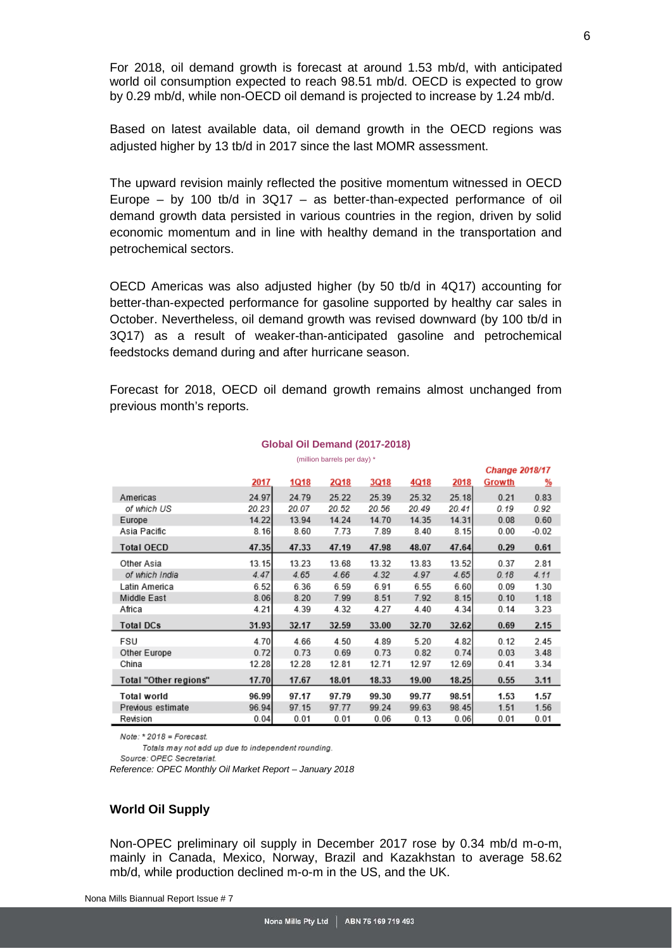For 2018, oil demand growth is forecast at around 1.53 mb/d, with anticipated world oil consumption expected to reach 98.51 mb/d. OECD is expected to grow by 0.29 mb/d, while non-OECD oil demand is projected to increase by 1.24 mb/d.

Based on latest available data, oil demand growth in the OECD regions was adjusted higher by 13 tb/d in 2017 since the last MOMR assessment.

The upward revision mainly reflected the positive momentum witnessed in OECD Europe – by 100 tb/d in  $3Q17$  – as better-than-expected performance of oil demand growth data persisted in various countries in the region, driven by solid economic momentum and in line with healthy demand in the transportation and petrochemical sectors.

OECD Americas was also adjusted higher (by 50 tb/d in 4Q17) accounting for better-than-expected performance for gasoline supported by healthy car sales in October. Nevertheless, oil demand growth was revised downward (by 100 tb/d in 3Q17) as a result of weaker-than-anticipated gasoline and petrochemical feedstocks demand during and after hurricane season.

Forecast for 2018, OECD oil demand growth remains almost unchanged from previous month's reports.

| (million barrels per day) * |       |       |       |       |       |       |        |                       |  |  |
|-----------------------------|-------|-------|-------|-------|-------|-------|--------|-----------------------|--|--|
|                             |       |       |       |       |       |       |        | <b>Change 2018/17</b> |  |  |
|                             | 2017  | 1Q18  | 2Q18  | 3Q18  | 4Q18  | 2018  | Growth | <u>%</u>              |  |  |
| Americas                    | 24.97 | 24.79 | 25.22 | 25.39 | 25.32 | 25.18 | 0.21   | 0.83                  |  |  |
| of which US                 | 20.23 | 20.07 | 20.52 | 20.56 | 20.49 | 20.41 | 0.19   | 0.92                  |  |  |
| Europe                      | 14.22 | 13.94 | 14.24 | 14.70 | 14.35 | 14.31 | 0.08   | 0.60                  |  |  |
| Asia Pacific                | 8.16  | 8.60  | 7.73  | 7.89  | 8.40  | 8.15  | 0.00   | $-0.02$               |  |  |
| <b>Total OECD</b>           | 47.35 | 47.33 | 47.19 | 47.98 | 48.07 | 47.64 | 0.29   | 0.61                  |  |  |
| Other Asia                  | 13.15 | 13.23 | 13.68 | 13.32 | 13.83 | 13.52 | 0.37   | 2.81                  |  |  |
| of which India              | 4.47  | 4.65  | 4.66  | 4.32  | 4.97  | 4.65  | 0.18   | 4.11                  |  |  |
| Latin America               | 6.52  | 6.36  | 6.59  | 6.91  | 6.55  | 6.60  | 0.09   | 1.30                  |  |  |
| Middle East                 | 8.06  | 8.20  | 7.99  | 8.51  | 7.92  | 8.15  | 0.10   | 1.18                  |  |  |
| Africa                      | 4.21  | 4.39  | 4.32  | 4.27  | 4.40  | 4.34  | 0.14   | 3.23                  |  |  |
| <b>Total DCs</b>            | 31.93 | 32.17 | 32.59 | 33.00 | 32.70 | 32.62 | 0.69   | 2.15                  |  |  |
| FSU                         | 4.70  | 4.66  | 4.50  | 4.89  | 5.20  | 4.82  | 0.12   | 2.45                  |  |  |
| Other Europe                | 0.72  | 0.73  | 0.69  | 0.73  | 0.82  | 0.74  | 0.03   | 3.48                  |  |  |
| China                       | 12.28 | 12.28 | 12.81 | 12.71 | 12.97 | 12.69 | 0.41   | 3.34                  |  |  |
| Total "Other regions"       | 17.70 | 17.67 | 18.01 | 18.33 | 19.00 | 18.25 | 0.55   | 3.11                  |  |  |
| Total world                 | 96.99 | 97.17 | 97.79 | 99.30 | 99.77 | 98.51 | 1.53   | 1.57                  |  |  |
| Previous estimate           | 96.94 | 97.15 | 97.77 | 99.24 | 99.63 | 98.45 | 1.51   | 1.56                  |  |  |
| Revision                    | 0.04  | 0.01  | 0.01  | 0.06  | 0.13  | 0.06  | 0.01   | 0.01                  |  |  |

#### **Global Oil Demand (2017-2018)**

Note:  $*$  2018 = Forecast.

Totals may not add up due to independent rounding.

Source: OPEC Secretariat.

*Reference: OPEC Monthly Oil Market Report – January 2018*

### <span id="page-5-0"></span>**World Oil Supply**

Non-OPEC preliminary oil supply in December 2017 rose by 0.34 mb/d m-o-m, mainly in Canada, Mexico, Norway, Brazil and Kazakhstan to average 58.62 mb/d, while production declined m-o-m in the US, and the UK.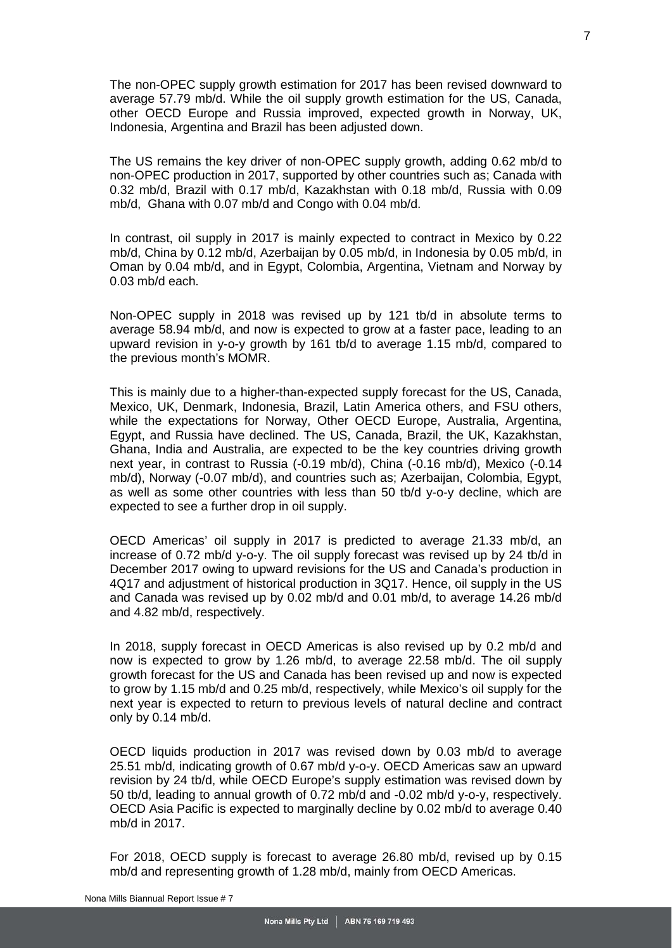The non-OPEC supply growth estimation for 2017 has been revised downward to average 57.79 mb/d. While the oil supply growth estimation for the US, Canada, other OECD Europe and Russia improved, expected growth in Norway, UK, Indonesia, Argentina and Brazil has been adjusted down.

The US remains the key driver of non-OPEC supply growth, adding 0.62 mb/d to non-OPEC production in 2017, supported by other countries such as; Canada with 0.32 mb/d, Brazil with 0.17 mb/d, Kazakhstan with 0.18 mb/d, Russia with 0.09 mb/d, Ghana with 0.07 mb/d and Congo with 0.04 mb/d.

In contrast, oil supply in 2017 is mainly expected to contract in Mexico by 0.22 mb/d, China by 0.12 mb/d, Azerbaijan by 0.05 mb/d, in Indonesia by 0.05 mb/d, in Oman by 0.04 mb/d, and in Egypt, Colombia, Argentina, Vietnam and Norway by 0.03 mb/d each.

Non-OPEC supply in 2018 was revised up by 121 tb/d in absolute terms to average 58.94 mb/d, and now is expected to grow at a faster pace, leading to an upward revision in y-o-y growth by 161 tb/d to average 1.15 mb/d, compared to the previous month's MOMR.

This is mainly due to a higher-than-expected supply forecast for the US, Canada, Mexico, UK, Denmark, Indonesia, Brazil, Latin America others, and FSU others, while the expectations for Norway, Other OECD Europe, Australia, Argentina, Egypt, and Russia have declined. The US, Canada, Brazil, the UK, Kazakhstan, Ghana, India and Australia, are expected to be the key countries driving growth next year, in contrast to Russia (-0.19 mb/d), China (-0.16 mb/d), Mexico (-0.14 mb/d), Norway (-0.07 mb/d), and countries such as; Azerbaijan, Colombia, Egypt, as well as some other countries with less than 50 tb/d y-o-y decline, which are expected to see a further drop in oil supply.

OECD Americas' oil supply in 2017 is predicted to average 21.33 mb/d, an increase of 0.72 mb/d y-o-y. The oil supply forecast was revised up by 24 tb/d in December 2017 owing to upward revisions for the US and Canada's production in 4Q17 and adjustment of historical production in 3Q17. Hence, oil supply in the US and Canada was revised up by 0.02 mb/d and 0.01 mb/d, to average 14.26 mb/d and 4.82 mb/d, respectively.

In 2018, supply forecast in OECD Americas is also revised up by 0.2 mb/d and now is expected to grow by 1.26 mb/d, to average 22.58 mb/d. The oil supply growth forecast for the US and Canada has been revised up and now is expected to grow by 1.15 mb/d and 0.25 mb/d, respectively, while Mexico's oil supply for the next year is expected to return to previous levels of natural decline and contract only by 0.14 mb/d.

OECD liquids production in 2017 was revised down by 0.03 mb/d to average 25.51 mb/d, indicating growth of 0.67 mb/d y-o-y. OECD Americas saw an upward revision by 24 tb/d, while OECD Europe's supply estimation was revised down by 50 tb/d, leading to annual growth of 0.72 mb/d and -0.02 mb/d y-o-y, respectively. OECD Asia Pacific is expected to marginally decline by 0.02 mb/d to average 0.40 mb/d in 2017.

For 2018, OECD supply is forecast to average 26.80 mb/d, revised up by 0.15 mb/d and representing growth of 1.28 mb/d, mainly from OECD Americas.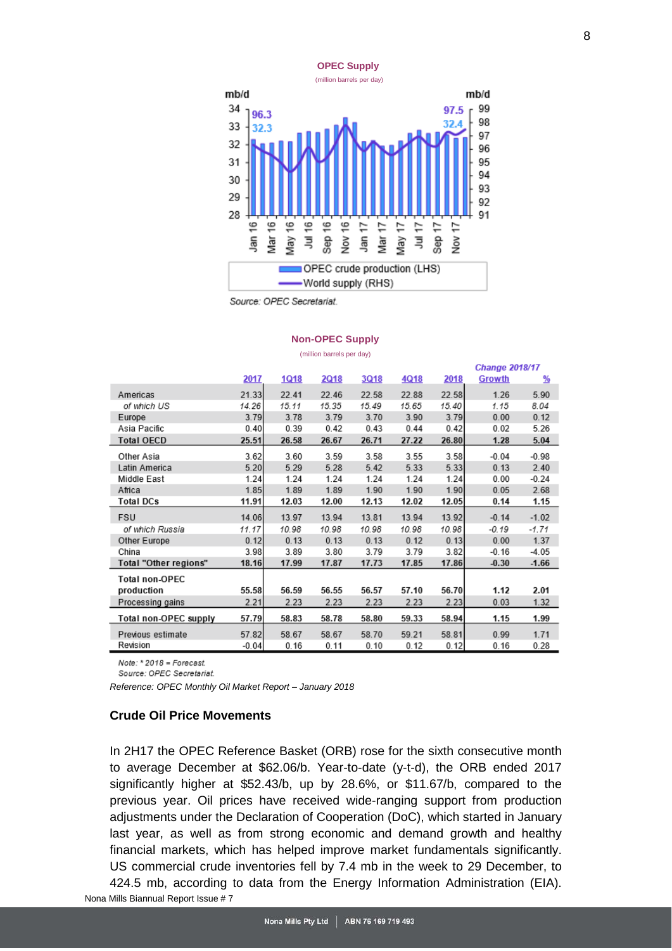

#### **Non-OPEC Supply** (million barrels per day)

|                       |         |             |             |             |       |       | <b>Change 2018/17</b> |         |
|-----------------------|---------|-------------|-------------|-------------|-------|-------|-----------------------|---------|
|                       | 2017    | <b>1Q18</b> | <b>2Q18</b> | <b>3Q18</b> | 4Q18  | 2018  | Growth                | %       |
| Americas              | 21.33   | 22.41       | 22.46       | 22.58       | 22.88 | 22.58 | 1.26                  | 5.90    |
| of which US           | 14.26   | 15.11       | 15.35       | 15.49       | 15.65 | 15.40 | 1.15                  | 8.04    |
| Europe                | 3.79    | 3.78        | 3.79        | 3.70        | 3.90  | 3.79  | 0.00                  | 0.12    |
| Asia Pacific          | 0.40    | 0.39        | 0.42        | 0.43        | 0.44  | 0.42  | 0.02                  | 5.26    |
| <b>Total OECD</b>     | 25.51   | 26.58       | 26.67       | 26.71       | 27.22 | 26.80 | 1.28                  | 5.04    |
| Other Asia            | 3.62    | 3.60        | 3.59        | 3.58        | 3.55  | 3.58  | $-0.04$               | $-0.98$ |
| Latin America         | 5.20    | 5.29        | 5.28        | 5.42        | 5.33  | 5.33  | 0.13                  | 2.40    |
| Middle East           | 1.24    | 1.24        | 1.24        | 1.24        | 1.24  | 1.24  | 0.00                  | $-0.24$ |
| Africa                | 1.85    | 1.89        | 1.89        | 1.90        | 1.90  | 1.90  | 0.05                  | 2.68    |
| Total DCs             | 11.91   | 12.03       | 12.00       | 12.13       | 12.02 | 12.05 | 0.14                  | 1.15    |
| <b>FSU</b>            | 14.06   | 13.97       | 13.94       | 13.81       | 13.94 | 13.92 | $-0.14$               | $-1.02$ |
| of which Russia       | 11.17   | 10.98       | 10.98       | 10.98       | 10.98 | 10.98 | -0.19                 | $-1.71$ |
| Other Europe          | 0.12    | 0.13        | 0.13        | 0.13        | 0.12  | 0.13  | 0.00                  | 1.37    |
| China                 | 3.98    | 3.89        | 3.80        | 3.79        | 3.79  | 3.82  | $-0.16$               | $-4.05$ |
| Total "Other regions" | 18.16   | 17.99       | 17.87       | 17.73       | 17.85 | 17.86 | $-0.30$               | $-1.66$ |
| <b>Total non-OPEC</b> |         |             |             |             |       |       |                       |         |
| production            | 55.58   | 56.59       | 56.55       | 56.57       | 57.10 | 56.70 | 1.12                  | 2.01    |
| Processing gains      | 2.21    | 2.23        | 2.23        | 2.23        | 2.23  | 2.23  | 0.03                  | 1.32    |
| Total non-OPEC supply | 57.79   | 58.83       | 58.78       | 58.80       | 59.33 | 58.94 | 1.15                  | 1.99    |
| Previous estimate     | 57.82   | 58.67       | 58.67       | 58.70       | 59.21 | 58.81 | 0.99                  | 1.71    |
| Revision              | $-0.04$ | 0.16        | 0.11        | 0.10        | 0.12  | 0.12  | 0.16                  | 0.28    |

Note: \* 2018 = Forecast.

Source: OPEC Secretariat.

*Reference: OPEC Monthly Oil Market Report – January 2018*

### <span id="page-7-0"></span>**Crude Oil Price Movements**

In 2H17 the OPEC Reference Basket (ORB) rose for the sixth consecutive month to average December at \$62.06/b. Year-to-date (y-t-d), the ORB ended 2017 significantly higher at \$52.43/b, up by 28.6%, or \$11.67/b, compared to the previous year. Oil prices have received wide-ranging support from production adjustments under the Declaration of Cooperation (DoC), which started in January last year, as well as from strong economic and demand growth and healthy financial markets, which has helped improve market fundamentals significantly. US commercial crude inventories fell by 7.4 mb in the week to 29 December, to 424.5 mb, according to data from the Energy Information Administration (EIA).

Nona Mills Biannual Report Issue # 7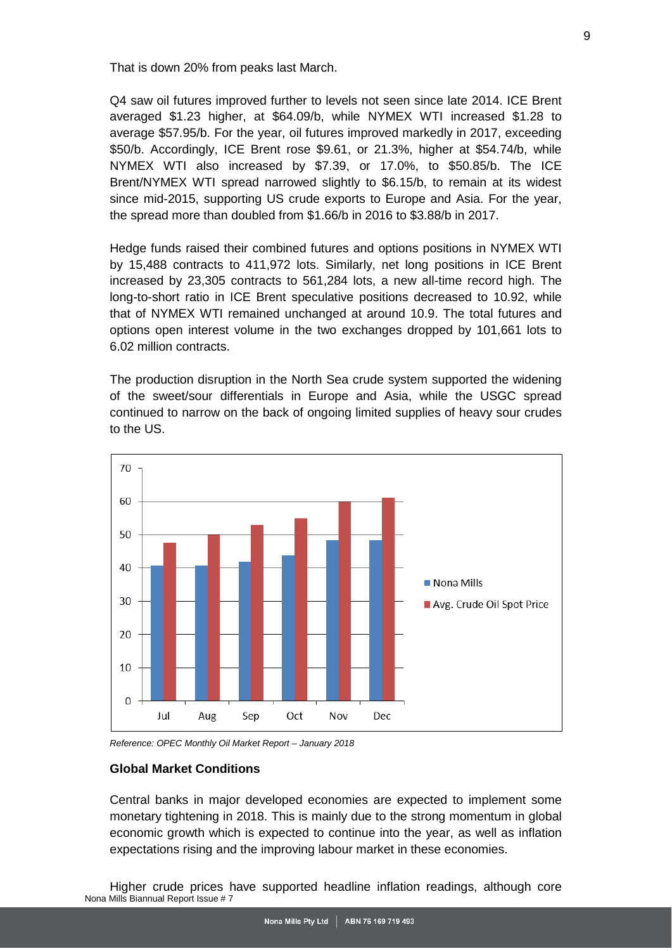That is down 20% from peaks last March.

Q4 saw oil futures improved further to levels not seen since late 2014. ICE Brent averaged \$1.23 higher, at \$64.09/b, while NYMEX WTI increased \$1.28 to average \$57.95/b. For the year, oil futures improved markedly in 2017, exceeding \$50/b. Accordingly, ICE Brent rose \$9.61, or 21.3%, higher at \$54.74/b, while NYMEX WTI also increased by \$7.39, or 17.0%, to \$50.85/b. The ICE Brent/NYMEX WTI spread narrowed slightly to \$6.15/b, to remain at its widest since mid-2015, supporting US crude exports to Europe and Asia. For the year, the spread more than doubled from \$1.66/b in 2016 to \$3.88/b in 2017.

Hedge funds raised their combined futures and options positions in NYMEX WTI by 15,488 contracts to 411,972 lots. Similarly, net long positions in ICE Brent increased by 23,305 contracts to 561,284 lots, a new all-time record high. The long-to-short ratio in ICE Brent speculative positions decreased to 10.92, while that of NYMEX WTI remained unchanged at around 10.9. The total futures and options open interest volume in the two exchanges dropped by 101,661 lots to 6.02 million contracts.

The production disruption in the North Sea crude system supported the widening of the sweet/sour differentials in Europe and Asia, while the USGC spread continued to narrow on the back of ongoing limited supplies of heavy sour crudes to the US.



*Reference: OPEC Monthly Oil Market Report – January 2018*

#### **Global Market Conditions**

Central banks in major developed economies are expected to implement some monetary tightening in 2018. This is mainly due to the strong momentum in global economic growth which is expected to continue into the year, as well as inflation expectations rising and the improving labour market in these economies.

Nona Mills Biannual Report Issue # 7 Higher crude prices have supported headline inflation readings, although core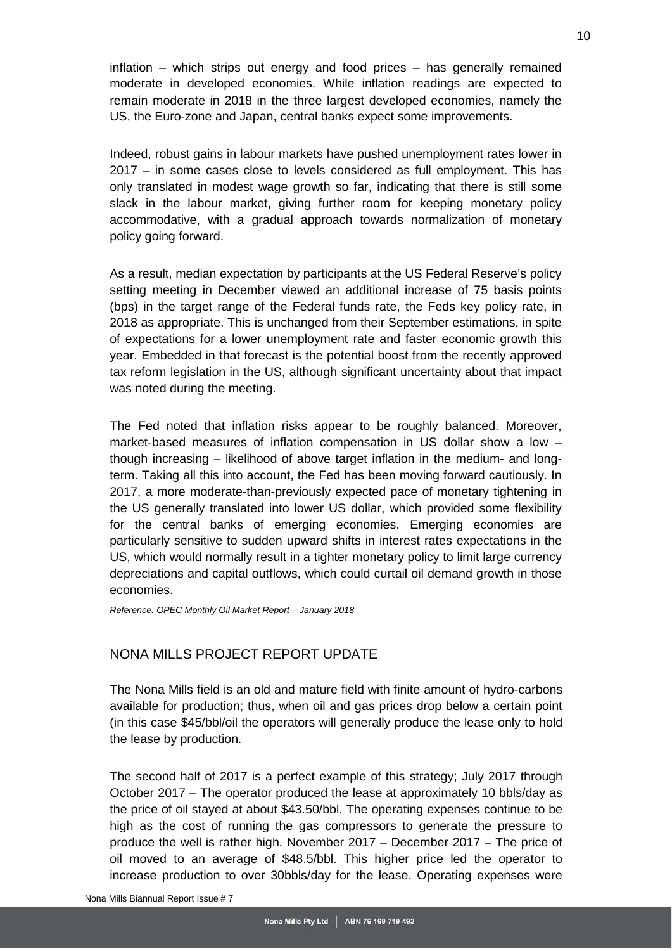inflation – which strips out energy and food prices – has generally remained moderate in developed economies. While inflation readings are expected to remain moderate in 2018 in the three largest developed economies, namely the US, the Euro-zone and Japan, central banks expect some improvements.

Indeed, robust gains in labour markets have pushed unemployment rates lower in 2017 – in some cases close to levels considered as full employment. This has only translated in modest wage growth so far, indicating that there is still some slack in the labour market, giving further room for keeping monetary policy accommodative, with a gradual approach towards normalization of monetary policy going forward.

As a result, median expectation by participants at the US Federal Reserve's policy setting meeting in December viewed an additional increase of 75 basis points (bps) in the target range of the Federal funds rate, the Feds key policy rate, in 2018 as appropriate. This is unchanged from their September estimations, in spite of expectations for a lower unemployment rate and faster economic growth this year. Embedded in that forecast is the potential boost from the recently approved tax reform legislation in the US, although significant uncertainty about that impact was noted during the meeting.

The Fed noted that inflation risks appear to be roughly balanced. Moreover, market-based measures of inflation compensation in US dollar show a low – though increasing – likelihood of above target inflation in the medium- and longterm. Taking all this into account, the Fed has been moving forward cautiously. In 2017, a more moderate-than-previously expected pace of monetary tightening in the US generally translated into lower US dollar, which provided some flexibility for the central banks of emerging economies. Emerging economies are particularly sensitive to sudden upward shifts in interest rates expectations in the US, which would normally result in a tighter monetary policy to limit large currency depreciations and capital outflows, which could curtail oil demand growth in those economies.

*Reference: OPEC Monthly Oil Market Report – January 2018*

## <span id="page-9-0"></span>NONA MILLS PROJECT REPORT UPDATE

The Nona Mills field is an old and mature field with finite amount of hydro-carbons available for production; thus, when oil and gas prices drop below a certain point (in this case \$45/bbl/oil the operators will generally produce the lease only to hold the lease by production.

The second half of 2017 is a perfect example of this strategy; July 2017 through October 2017 – The operator produced the lease at approximately 10 bbls/day as the price of oil stayed at about \$43.50/bbl. The operating expenses continue to be high as the cost of running the gas compressors to generate the pressure to produce the well is rather high. November 2017 – December 2017 – The price of oil moved to an average of \$48.5/bbl. This higher price led the operator to increase production to over 30bbls/day for the lease. Operating expenses were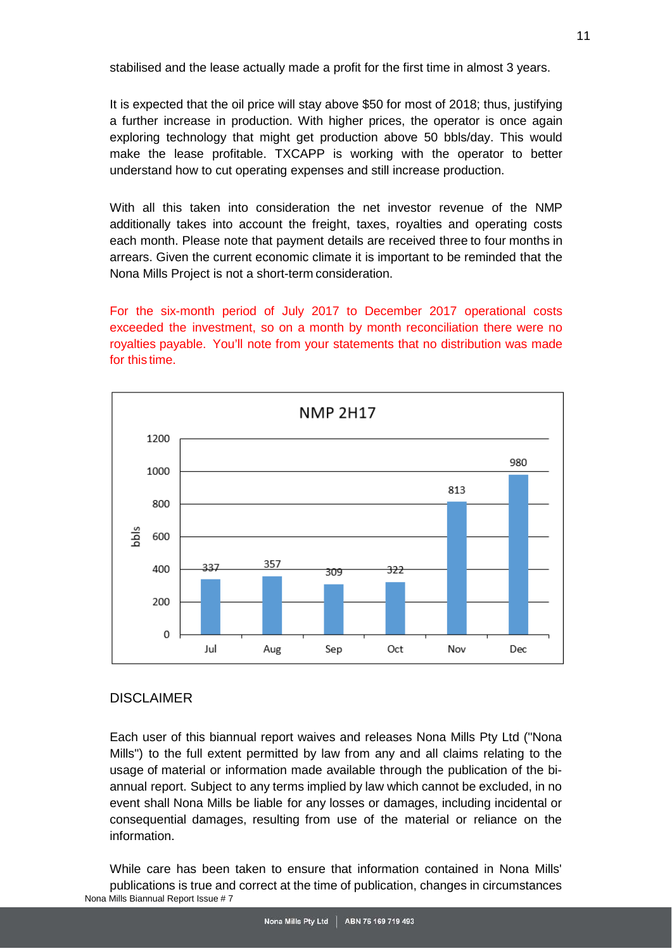stabilised and the lease actually made a profit for the first time in almost 3 years.

It is expected that the oil price will stay above \$50 for most of 2018; thus, justifying a further increase in production. With higher prices, the operator is once again exploring technology that might get production above 50 bbls/day. This would make the lease profitable. TXCAPP is working with the operator to better understand how to cut operating expenses and still increase production.

With all this taken into consideration the net investor revenue of the NMP additionally takes into account the freight, taxes, royalties and operating costs each month. Please note that payment details are received three to four months in arrears. Given the current economic climate it is important to be reminded that the Nona Mills Project is not a short-term consideration.

For the six-month period of July 2017 to December 2017 operational costs exceeded the investment, so on a month by month reconciliation there were no royalties payable. You'll note from your statements that no distribution was made for this time.



## <span id="page-10-0"></span>DISCLAIMER

Each user of this biannual report waives and releases Nona Mills Pty Ltd ("Nona Mills") to the full extent permitted by law from any and all claims relating to the usage of material or information made available through the publication of the biannual report. Subject to any terms implied by law which cannot be excluded, in no event shall Nona Mills be liable for any losses or damages, including incidental or consequential damages, resulting from use of the material or reliance on the information.

Nona Mills Biannual Report Issue # 7 While care has been taken to ensure that information contained in Nona Mills' publications is true and correct at the time of publication, changes in circumstances